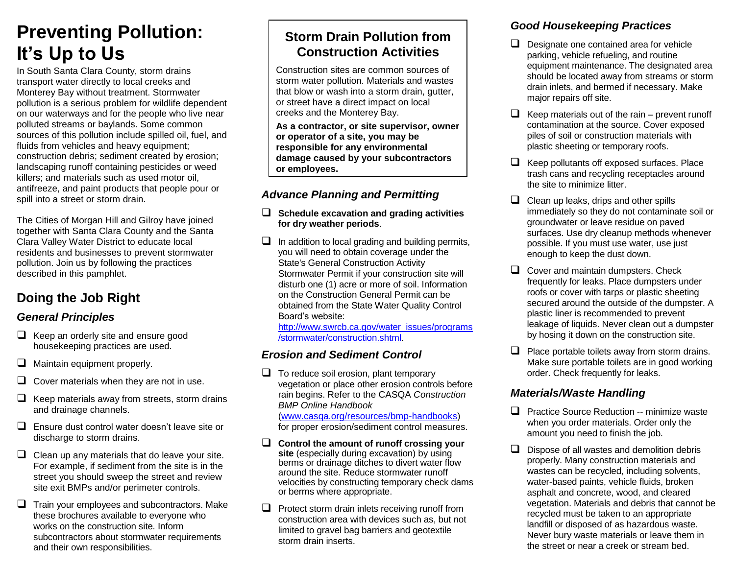# **Preventing Pollution: It's Up to Us**

In South Santa Clara County, storm drains transport water directly to local creeks and Monterey Bay without treatment. Stormwater pollution is a serious problem for wildlife dependent on our waterways and for the people who live near polluted streams or baylands. Some common sources of this pollution include spilled oil, fuel, and fluids from vehicles and heavy equipment; construction debris; sediment created by erosion; landscaping runoff containing pesticides or weed killers; and materials such as used motor oil, antifreeze, and paint products that people pour or spill into a street or storm drain.

The Cities of Morgan Hill and Gilroy have joined together with Santa Clara County and the Santa Clara Valley Water District to educate local residents and businesses to prevent stormwater pollution. Join us by following the practices described in this pamphlet.

# **Doing the Job Right**

#### *General Principles*

- $\Box$  Keep an orderly site and ensure good housekeeping practices are used.
- $\Box$  Maintain equipment properly.
- $\Box$  Cover materials when they are not in use.
- $\Box$  Keep materials away from streets, storm drains and drainage channels.
- $\Box$  Ensure dust control water doesn't leave site or discharge to storm drains.
- $\Box$  Clean up any materials that do leave your site. For example, if sediment from the site is in the street you should sweep the street and review site exit BMPs and/or perimeter controls.
- $\Box$  Train your employees and subcontractors. Make these brochures available to everyone who works on the construction site. Inform subcontractors about stormwater requirements and their own responsibilities.

# **Storm Drain Pollution from Construction Activities**

Construction sites are common sources of storm water pollution. Materials and wastes that blow or wash into a storm drain, gutter, or street have a direct impact on local creeks and the Monterey Bay.

**As a contractor, or site supervisor, owner or operator of a site, you may be responsible for any environmental damage caused by your subcontractors or employees.**

#### *Advance Planning and Permitting*

- **Schedule excavation and grading activities for dry weather periods**.
- $\Box$  In addition to local grading and building permits, you will need to obtain coverage under the State's General Construction Activity Stormwater Permit if your construction site will disturb one (1) acre or more of soil. Information on the Construction General Permit can be obtained from the State Water Quality Control Board's website:

[http://www.swrcb.ca.gov/water\\_issues/programs](http://www.swrcb.ca.gov/water_issues/programs/stormwater/construction.shtml) [/stormwater/construction.shtml.](http://www.swrcb.ca.gov/water_issues/programs/stormwater/construction.shtml)

#### *Erosion and Sediment Control*

 $\Box$  To reduce soil erosion, plant temporary vegetation or place other erosion controls before rain begins. Refer to the CASQA *Construction BMP Online Handbook*

[\(www.casqa.org/resources/bmp-handbooks\)](http://www.casqa.org/resources/bmp-handbooks) for proper erosion/sediment control measures.

- **Control the amount of runoff crossing your site** (especially during excavation) by using berms or drainage ditches to divert water flow around the site. Reduce stormwater runoff velocities by constructing temporary check dams or berms where appropriate.
- $\Box$  Protect storm drain inlets receiving runoff from construction area with devices such as, but not limited to gravel bag barriers and geotextile storm drain inserts.

#### *Good Housekeeping Practices*

- $\Box$  Designate one contained area for vehicle parking, vehicle refueling, and routine equipment maintenance. The designated area should be located away from streams or storm drain inlets, and bermed if necessary. Make major repairs off site.
- $\Box$  Keep materials out of the rain prevent runoff contamination at the source. Cover exposed piles of soil or construction materials with plastic sheeting or temporary roofs.
- $\Box$  Keep pollutants off exposed surfaces. Place trash cans and recycling receptacles around the site to minimize litter.
- $\Box$  Clean up leaks, drips and other spills immediately so they do not contaminate soil or groundwater or leave residue on paved surfaces. Use dry cleanup methods whenever possible. If you must use water, use just enough to keep the dust down.
- $\Box$  Cover and maintain dumpsters. Check frequently for leaks. Place dumpsters under roofs or cover with tarps or plastic sheeting secured around the outside of the dumpster. A plastic liner is recommended to prevent leakage of liquids. Never clean out a dumpster by hosing it down on the construction site.
- $\Box$  Place portable toilets away from storm drains. Make sure portable toilets are in good working order. Check frequently for leaks.

#### *Materials/Waste Handling*

- $\Box$  Practice Source Reduction -- minimize waste when you order materials. Order only the amount you need to finish the job.
- $\Box$  Dispose of all wastes and demolition debris properly. Many construction materials and wastes can be recycled, including solvents, water-based paints, vehicle fluids, broken asphalt and concrete, wood, and cleared vegetation. Materials and debris that cannot be recycled must be taken to an appropriate landfill or disposed of as hazardous waste. Never bury waste materials or leave them in the street or near a creek or stream bed.